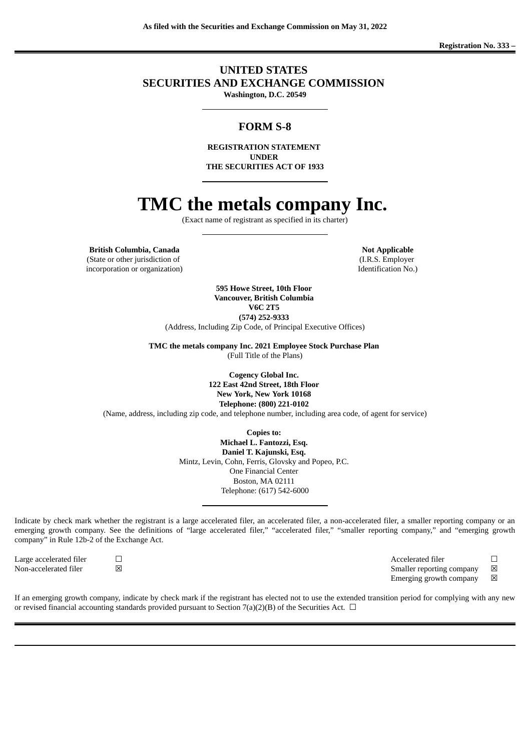## **UNITED STATES SECURITIES AND EXCHANGE COMMISSION Washington, D.C. 20549**

## **FORM S-8**

**REGISTRATION STATEMENT UNDER THE SECURITIES ACT OF 1933**

# **TMC the metals company Inc.**

(Exact name of registrant as specified in its charter)

**British Columbia, Canada Notify Applicable Notify Applicable** (State or other jurisdiction of incorporation or organization)

(I.R.S. Employer Identification No.)

**595 Howe Street, 10th Floor Vancouver, British Columbia V6C 2T5 (574) 252-9333** (Address, Including Zip Code, of Principal Executive Offices)

**TMC the metals company Inc. 2021 Employee Stock Purchase Plan** (Full Title of the Plans)

> **Cogency Global Inc. 122 East 42nd Street, 18th Floor New York, New York 10168 Telephone: (800) 221-0102**

(Name, address, including zip code, and telephone number, including area code, of agent for service)

**Copies to:**

**Michael L. Fantozzi, Esq. Daniel T. Kajunski, Esq.** Mintz, Levin, Cohn, Ferris, Glovsky and Popeo, P.C. One Financial Center Boston, MA 02111 Telephone: (617) 542-6000

Indicate by check mark whether the registrant is a large accelerated filer, an accelerated filer, a non-accelerated filer, a smaller reporting company or an emerging growth company. See the definitions of "large accelerated filer," "accelerated filer," "smaller reporting company," and "emerging growth company" in Rule 12b-2 of the Exchange Act.

Non-accelerated filer  $□$  ⊠ smaller reporting company  $□$ 

Large accelerated filer ☐ Accelerated filer ☐

Emerging growth company  $\boxtimes$ 

If an emerging growth company, indicate by check mark if the registrant has elected not to use the extended transition period for complying with any new or revised financial accounting standards provided pursuant to Section 7(a)(2)(B) of the Securities Act.  $\Box$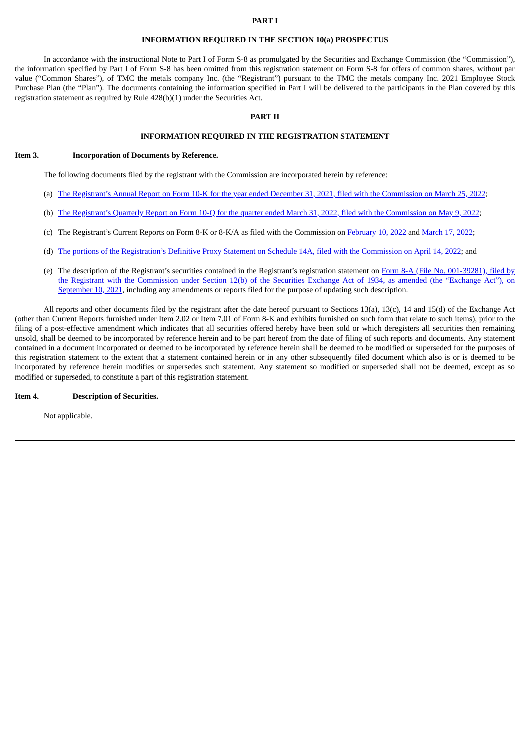#### **PART I**

#### **INFORMATION REQUIRED IN THE SECTION 10(a) PROSPECTUS**

In accordance with the instructional Note to Part I of Form S-8 as promulgated by the Securities and Exchange Commission (the "Commission"), the information specified by Part I of Form S-8 has been omitted from this registration statement on Form S-8 for offers of common shares, without par value ("Common Shares"), of TMC the metals company Inc. (the "Registrant") pursuant to the TMC the metals company Inc. 2021 Employee Stock Purchase Plan (the "Plan"). The documents containing the information specified in Part I will be delivered to the participants in the Plan covered by this registration statement as required by Rule 428(b)(1) under the Securities Act.

#### **PART II**

## **INFORMATION REQUIRED IN THE REGISTRATION STATEMENT**

#### **Item 3. Incorporation of Documents by Reference.**

The following documents filed by the registrant with the Commission are incorporated herein by reference:

- (a) The Registrant's Annual Report on Form 10-K for the year ended December 31, 2021, filed with the [Commission](https://www.sec.gov/ix?doc=/Archives/edgar/data/1798562/000110465922038029/tmc-20211231x10k.htm) on March 25, 2022;
- (b) The Registrant's Quarterly Report on Form 10-Q for the quarter ended March 31, 2022, filed with the [Commission](https://www.sec.gov/ix?doc=/Archives/edgar/data/1798562/000110465922057493/tmc-20220331x10q.htm) on May 9, 2022;
- (c) The Registrant's Current Reports on Form 8-K or 8-K/A as filed with the Commission on [February](https://www.sec.gov/ix?doc=/Archives/edgar/data/1798562/000110465922018674/tm226092d1_8k.htm) 10, 2022 and [March](https://www.sec.gov/ix?doc=/Archives/edgar/data/1798562/000110465922034803/tm229560d1_8k.htm) 17, 2022;
- (d) The portions of the [Registration's](https://www.sec.gov/Archives/edgar/data/1798562/000110465922046017/tm227918-5_def14a.htm) Definitive Proxy Statement on Schedule 14A, filed with the Commission on April 14, 2022; and
- (e) The description of the Registrant's securities contained in the Registrant's registration statement on Form 8-A (File No. 001-39281), filed by the Registrant with the [Commission](https://www.sec.gov/Archives/edgar/data/1798562/000121390021047279/ea146988-8a12b_tmcthemetals.htm) under Section 12(b) of the Securities Exchange Act of 1934, as amended (the "Exchange Act"), on September 10, 2021, including any amendments or reports filed for the purpose of updating such description.

All reports and other documents filed by the registrant after the date hereof pursuant to Sections 13(a), 13(c), 14 and 15(d) of the Exchange Act (other than Current Reports furnished under Item 2.02 or Item 7.01 of Form 8-K and exhibits furnished on such form that relate to such items), prior to the filing of a post-effective amendment which indicates that all securities offered hereby have been sold or which deregisters all securities then remaining unsold, shall be deemed to be incorporated by reference herein and to be part hereof from the date of filing of such reports and documents. Any statement contained in a document incorporated or deemed to be incorporated by reference herein shall be deemed to be modified or superseded for the purposes of this registration statement to the extent that a statement contained herein or in any other subsequently filed document which also is or is deemed to be incorporated by reference herein modifies or supersedes such statement. Any statement so modified or superseded shall not be deemed, except as so modified or superseded, to constitute a part of this registration statement.

#### **Item 4. Description of Securities.**

Not applicable.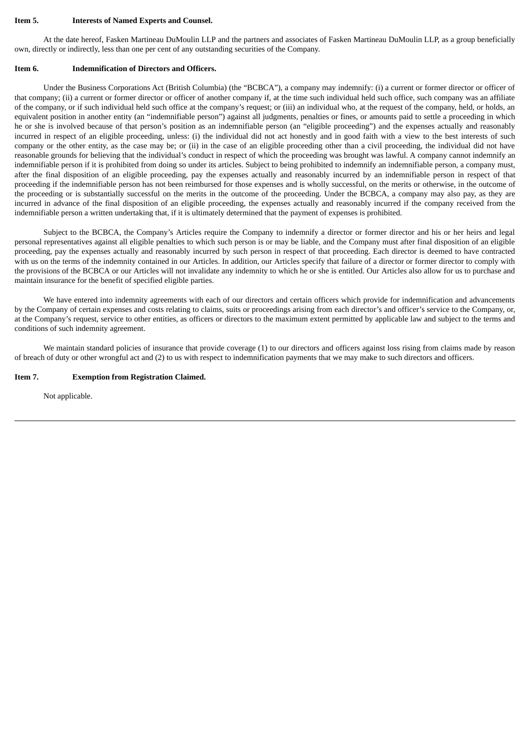#### **Item 5. Interests of Named Experts and Counsel.**

At the date hereof, Fasken Martineau DuMoulin LLP and the partners and associates of Fasken Martineau DuMoulin LLP, as a group beneficially own, directly or indirectly, less than one per cent of any outstanding securities of the Company.

#### **Item 6. Indemnification of Directors and Officers.**

Under the Business Corporations Act (British Columbia) (the "BCBCA"), a company may indemnify: (i) a current or former director or officer of that company; (ii) a current or former director or officer of another company if, at the time such individual held such office, such company was an affiliate of the company, or if such individual held such office at the company's request; or (iii) an individual who, at the request of the company, held, or holds, an equivalent position in another entity (an "indemnifiable person") against all judgments, penalties or fines, or amounts paid to settle a proceeding in which he or she is involved because of that person's position as an indemnifiable person (an "eligible proceeding") and the expenses actually and reasonably incurred in respect of an eligible proceeding, unless: (i) the individual did not act honestly and in good faith with a view to the best interests of such company or the other entity, as the case may be; or (ii) in the case of an eligible proceeding other than a civil proceeding, the individual did not have reasonable grounds for believing that the individual's conduct in respect of which the proceeding was brought was lawful. A company cannot indemnify an indemnifiable person if it is prohibited from doing so under its articles. Subject to being prohibited to indemnify an indemnifiable person, a company must, after the final disposition of an eligible proceeding, pay the expenses actually and reasonably incurred by an indemnifiable person in respect of that proceeding if the indemnifiable person has not been reimbursed for those expenses and is wholly successful, on the merits or otherwise, in the outcome of the proceeding or is substantially successful on the merits in the outcome of the proceeding. Under the BCBCA, a company may also pay, as they are incurred in advance of the final disposition of an eligible proceeding, the expenses actually and reasonably incurred if the company received from the indemnifiable person a written undertaking that, if it is ultimately determined that the payment of expenses is prohibited.

Subject to the BCBCA, the Company's Articles require the Company to indemnify a director or former director and his or her heirs and legal personal representatives against all eligible penalties to which such person is or may be liable, and the Company must after final disposition of an eligible proceeding, pay the expenses actually and reasonably incurred by such person in respect of that proceeding. Each director is deemed to have contracted with us on the terms of the indemnity contained in our Articles. In addition, our Articles specify that failure of a director or former director to comply with the provisions of the BCBCA or our Articles will not invalidate any indemnity to which he or she is entitled. Our Articles also allow for us to purchase and maintain insurance for the benefit of specified eligible parties.

We have entered into indemnity agreements with each of our directors and certain officers which provide for indemnification and advancements by the Company of certain expenses and costs relating to claims, suits or proceedings arising from each director's and officer's service to the Company, or, at the Company's request, service to other entities, as officers or directors to the maximum extent permitted by applicable law and subject to the terms and conditions of such indemnity agreement.

We maintain standard policies of insurance that provide coverage (1) to our directors and officers against loss rising from claims made by reason of breach of duty or other wrongful act and (2) to us with respect to indemnification payments that we may make to such directors and officers.

#### **Item 7. Exemption from Registration Claimed.**

Not applicable.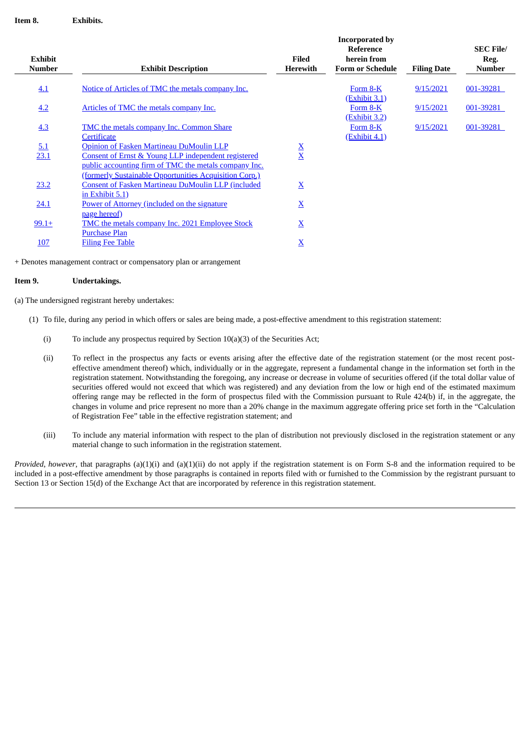| <b>Exhibit</b> |                                                        | Filed                           | <b>Incorporated by</b><br>Reference<br>herein from |                    | <b>SEC File/</b><br>Reg. |
|----------------|--------------------------------------------------------|---------------------------------|----------------------------------------------------|--------------------|--------------------------|
| <b>Number</b>  | <b>Exhibit Description</b>                             | <b>Herewith</b>                 | <b>Form or Schedule</b>                            | <b>Filing Date</b> | <b>Number</b>            |
| 4.1            | Notice of Articles of TMC the metals company Inc.      |                                 | Form 8-K<br>(Exhibit 3.1)                          | 9/15/2021          | 001-39281                |
| 4.2            | Articles of TMC the metals company Inc.                |                                 | Form 8-K                                           | 9/15/2021          | 001-39281                |
|                |                                                        |                                 | (Exhibit 3.2)                                      |                    |                          |
| 4.3            | TMC the metals company Inc. Common Share               |                                 | Form 8-K                                           | 9/15/2021          | 001-39281                |
|                | Certificate                                            |                                 | <u>(Exhibit 4.1)</u>                               |                    |                          |
| <u>5.1</u>     | Opinion of Fasken Martineau DuMoulin LLP               |                                 |                                                    |                    |                          |
| 23.1           | Consent of Ernst & Young LLP independent registered    | $\frac{\mathbf{X}}{\mathbf{X}}$ |                                                    |                    |                          |
|                | public accounting firm of TMC the metals company Inc.  |                                 |                                                    |                    |                          |
|                | (formerly Sustainable Opportunities Acquisition Corp.) |                                 |                                                    |                    |                          |
| 23.2           | Consent of Fasken Martineau DuMoulin LLP (included     | $\mathbf{\underline{X}}$        |                                                    |                    |                          |
|                | in Exhibit $5.1$ )                                     |                                 |                                                    |                    |                          |
| 24.1           | Power of Attorney (included on the signature           | $\underline{\mathbf{X}}$        |                                                    |                    |                          |
|                | page hereof)                                           |                                 |                                                    |                    |                          |
| $99.1+$        | <b>TMC</b> the metals company Inc. 2021 Employee Stock | $\overline{\mathbf{X}}$         |                                                    |                    |                          |
|                | <b>Purchase Plan</b>                                   |                                 |                                                    |                    |                          |
| <b>107</b>     | <b>Filing Fee Table</b>                                | $\underline{X}$                 |                                                    |                    |                          |
|                |                                                        |                                 |                                                    |                    |                          |

+ Denotes management contract or compensatory plan or arrangement

#### **Item 9. Undertakings.**

(a) The undersigned registrant hereby undertakes:

- (1) To file, during any period in which offers or sales are being made, a post-effective amendment to this registration statement:
	- (i) To include any prospectus required by Section 10(a)(3) of the Securities Act;
	- (ii) To reflect in the prospectus any facts or events arising after the effective date of the registration statement (or the most recent posteffective amendment thereof) which, individually or in the aggregate, represent a fundamental change in the information set forth in the registration statement. Notwithstanding the foregoing, any increase or decrease in volume of securities offered (if the total dollar value of securities offered would not exceed that which was registered) and any deviation from the low or high end of the estimated maximum offering range may be reflected in the form of prospectus filed with the Commission pursuant to Rule 424(b) if, in the aggregate, the changes in volume and price represent no more than a 20% change in the maximum aggregate offering price set forth in the "Calculation of Registration Fee" table in the effective registration statement; and
	- (iii) To include any material information with respect to the plan of distribution not previously disclosed in the registration statement or any material change to such information in the registration statement.

*Provided*, *however*, that paragraphs (a)(1)(i) and (a)(1)(ii) do not apply if the registration statement is on Form S-8 and the information required to be included in a post-effective amendment by those paragraphs is contained in reports filed with or furnished to the Commission by the registrant pursuant to Section 13 or Section 15(d) of the Exchange Act that are incorporated by reference in this registration statement.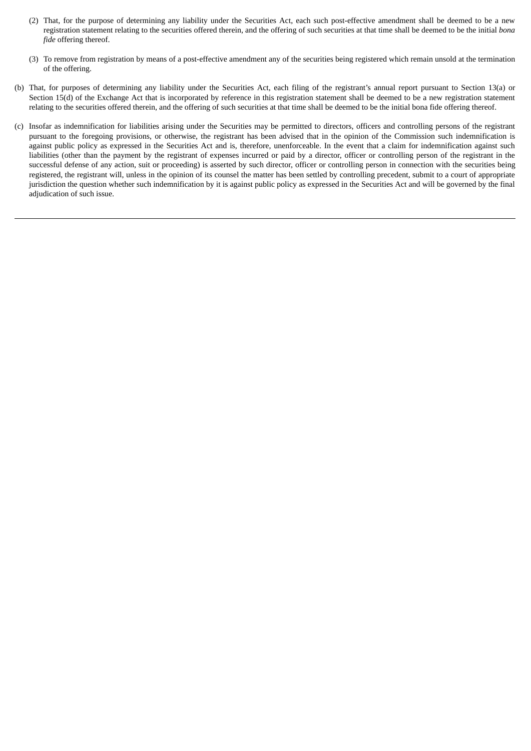- (2) That, for the purpose of determining any liability under the Securities Act, each such post-effective amendment shall be deemed to be a new registration statement relating to the securities offered therein, and the offering of such securities at that time shall be deemed to be the initial *bona fide* offering thereof.
- (3) To remove from registration by means of a post-effective amendment any of the securities being registered which remain unsold at the termination of the offering.
- (b) That, for purposes of determining any liability under the Securities Act, each filing of the registrant's annual report pursuant to Section 13(a) or Section 15(d) of the Exchange Act that is incorporated by reference in this registration statement shall be deemed to be a new registration statement relating to the securities offered therein, and the offering of such securities at that time shall be deemed to be the initial bona fide offering thereof.
- (c) Insofar as indemnification for liabilities arising under the Securities may be permitted to directors, officers and controlling persons of the registrant pursuant to the foregoing provisions, or otherwise, the registrant has been advised that in the opinion of the Commission such indemnification is against public policy as expressed in the Securities Act and is, therefore, unenforceable. In the event that a claim for indemnification against such liabilities (other than the payment by the registrant of expenses incurred or paid by a director, officer or controlling person of the registrant in the successful defense of any action, suit or proceeding) is asserted by such director, officer or controlling person in connection with the securities being registered, the registrant will, unless in the opinion of its counsel the matter has been settled by controlling precedent, submit to a court of appropriate jurisdiction the question whether such indemnification by it is against public policy as expressed in the Securities Act and will be governed by the final adjudication of such issue.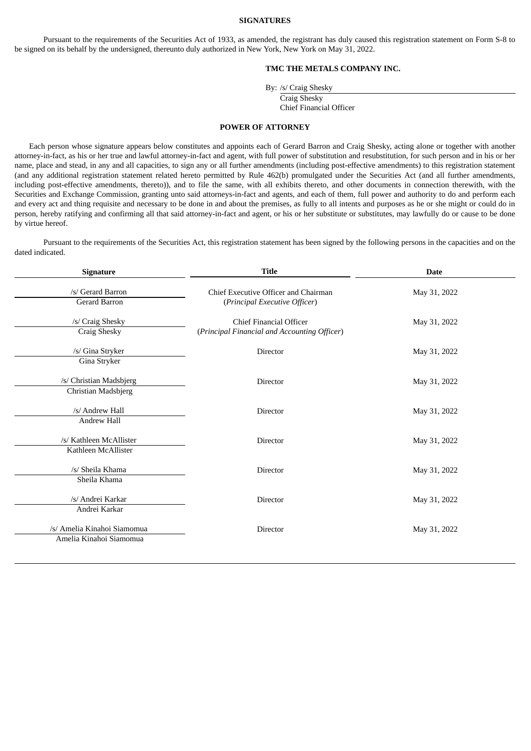#### **SIGNATURES**

<span id="page-5-0"></span>Pursuant to the requirements of the Securities Act of 1933, as amended, the registrant has duly caused this registration statement on Form S-8 to be signed on its behalf by the undersigned, thereunto duly authorized in New York, New York on May 31, 2022.

## **TMC THE METALS COMPANY INC.**

By: /s/ Craig Shesky

Craig Shesky

Chief Financial Officer

#### **POWER OF ATTORNEY**

Each person whose signature appears below constitutes and appoints each of Gerard Barron and Craig Shesky, acting alone or together with another attorney-in-fact, as his or her true and lawful attorney-in-fact and agent, with full power of substitution and resubstitution, for such person and in his or her name, place and stead, in any and all capacities, to sign any or all further amendments (including post-effective amendments) to this registration statement (and any additional registration statement related hereto permitted by Rule 462(b) promulgated under the Securities Act (and all further amendments, including post-effective amendments, thereto)), and to file the same, with all exhibits thereto, and other documents in connection therewith, with the Securities and Exchange Commission, granting unto said attorneys-in-fact and agents, and each of them, full power and authority to do and perform each and every act and thing requisite and necessary to be done in and about the premises, as fully to all intents and purposes as he or she might or could do in person, hereby ratifying and confirming all that said attorney-in-fact and agent, or his or her substitute or substitutes, may lawfully do or cause to be done by virtue hereof.

Pursuant to the requirements of the Securities Act, this registration statement has been signed by the following persons in the capacities and on the dated indicated.

| Signature                                              | <b>Title</b>                                                                   | <b>Date</b>  |  |  |  |
|--------------------------------------------------------|--------------------------------------------------------------------------------|--------------|--|--|--|
| /s/ Gerard Barron<br>Gerard Barron                     | Chief Executive Officer and Chairman<br>(Principal Executive Officer)          | May 31, 2022 |  |  |  |
| /s/ Craig Shesky<br>Craig Shesky                       | <b>Chief Financial Officer</b><br>(Principal Financial and Accounting Officer) | May 31, 2022 |  |  |  |
| /s/ Gina Stryker<br>Gina Stryker                       | Director                                                                       | May 31, 2022 |  |  |  |
| /s/ Christian Madsbjerg<br>Christian Madsbjerg         | Director                                                                       | May 31, 2022 |  |  |  |
| /s/ Andrew Hall<br>Andrew Hall                         | Director                                                                       | May 31, 2022 |  |  |  |
| /s/ Kathleen McAllister<br>Kathleen McAllister         | Director                                                                       | May 31, 2022 |  |  |  |
| /s/ Sheila Khama<br>Sheila Khama                       | Director                                                                       | May 31, 2022 |  |  |  |
| /s/ Andrei Karkar<br>Andrei Karkar                     | <b>Director</b>                                                                | May 31, 2022 |  |  |  |
| /s/ Amelia Kinahoi Siamomua<br>Amelia Kinahoi Siamomua | Director                                                                       | May 31, 2022 |  |  |  |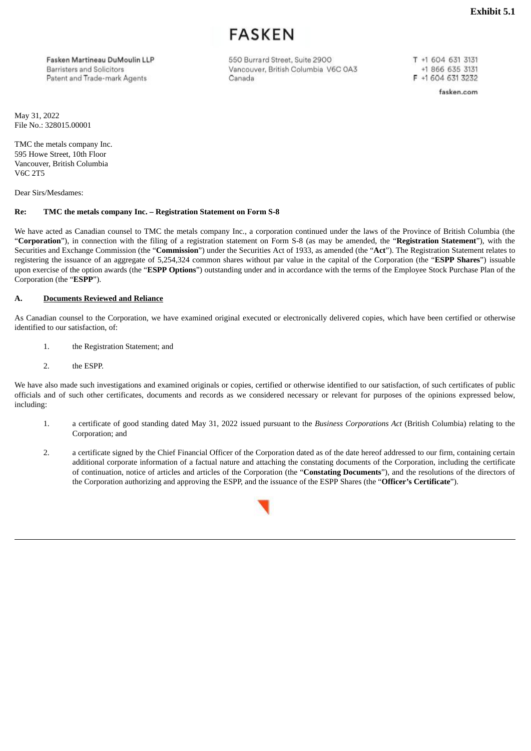FASKFN

<span id="page-6-0"></span>Fasken Martineau DuMoulin LLP Barrietare and Solicitore Patent and Trade-mark Agents

550 Burrard Street, Suite 2900 Vancouver, British Columbia V6C 0A3 Canada

T +1 604 631 3131 +1 866 635 3131 F +1 604 631 3232

fasken.com

May 31, 2022 File No.: 328015.00001

TMC the metals company Inc. 595 Howe Street, 10th Floor Vancouver, British Columbia V6C 2T5

Dear Sirs/Mesdames:

## **Re: TMC the metals company Inc. – Registration Statement on Form S-8**

We have acted as Canadian counsel to TMC the metals company Inc., a corporation continued under the laws of the Province of British Columbia (the "**Corporation**"), in connection with the filing of a registration statement on Form S-8 (as may be amended, the "**Registration Statement**"), with the Securities and Exchange Commission (the "**Commission**") under the Securities Act of 1933, as amended (the "**Act**"). The Registration Statement relates to registering the issuance of an aggregate of 5,254,324 common shares without par value in the capital of the Corporation (the "**ESPP Shares**") issuable upon exercise of the option awards (the "**ESPP Options**") outstanding under and in accordance with the terms of the Employee Stock Purchase Plan of the Corporation (the "**ESPP**").

#### **A. Documents Reviewed and Reliance**

As Canadian counsel to the Corporation, we have examined original executed or electronically delivered copies, which have been certified or otherwise identified to our satisfaction, of:

- 1. the Registration Statement; and
- 2. the ESPP.

We have also made such investigations and examined originals or copies, certified or otherwise identified to our satisfaction, of such certificates of public officials and of such other certificates, documents and records as we considered necessary or relevant for purposes of the opinions expressed below, including:

- 1. a certificate of good standing dated May 31, 2022 issued pursuant to the *Business Corporations Act* (British Columbia) relating to the Corporation; and
- 2. a certificate signed by the Chief Financial Officer of the Corporation dated as of the date hereof addressed to our firm, containing certain additional corporate information of a factual nature and attaching the constating documents of the Corporation, including the certificate of continuation, notice of articles and articles of the Corporation (the "**Constating Documents**"), and the resolutions of the directors of the Corporation authorizing and approving the ESPP, and the issuance of the ESPP Shares (the "**Officer's Certificate**").

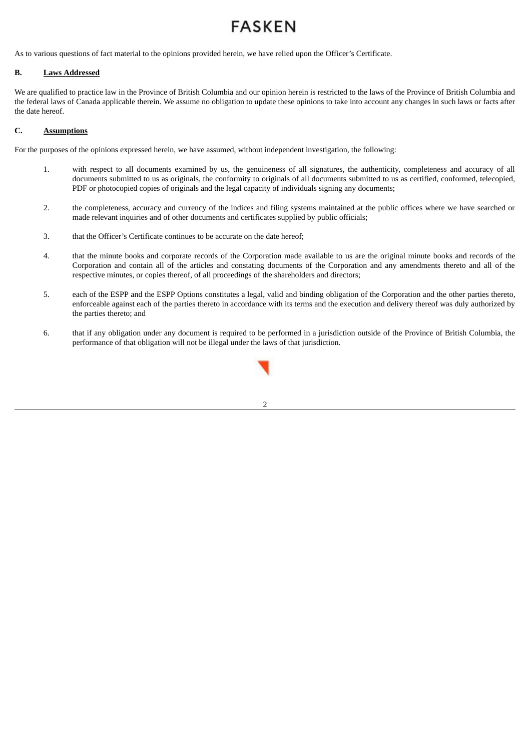# **FASKEN**

As to various questions of fact material to the opinions provided herein, we have relied upon the Officer's Certificate.

## **B. Laws Addressed**

We are qualified to practice law in the Province of British Columbia and our opinion herein is restricted to the laws of the Province of British Columbia and the federal laws of Canada applicable therein. We assume no obligation to update these opinions to take into account any changes in such laws or facts after the date hereof.

## **C. Assumptions**

For the purposes of the opinions expressed herein, we have assumed, without independent investigation, the following:

- 1. with respect to all documents examined by us, the genuineness of all signatures, the authenticity, completeness and accuracy of all documents submitted to us as originals, the conformity to originals of all documents submitted to us as certified, conformed, telecopied, PDF or photocopied copies of originals and the legal capacity of individuals signing any documents;
- 2. the completeness, accuracy and currency of the indices and filing systems maintained at the public offices where we have searched or made relevant inquiries and of other documents and certificates supplied by public officials;
- 3. that the Officer's Certificate continues to be accurate on the date hereof;
- 4. that the minute books and corporate records of the Corporation made available to us are the original minute books and records of the Corporation and contain all of the articles and constating documents of the Corporation and any amendments thereto and all of the respective minutes, or copies thereof, of all proceedings of the shareholders and directors;
- 5. each of the ESPP and the ESPP Options constitutes a legal, valid and binding obligation of the Corporation and the other parties thereto, enforceable against each of the parties thereto in accordance with its terms and the execution and delivery thereof was duly authorized by the parties thereto; and
- 6. that if any obligation under any document is required to be performed in a jurisdiction outside of the Province of British Columbia, the performance of that obligation will not be illegal under the laws of that jurisdiction.

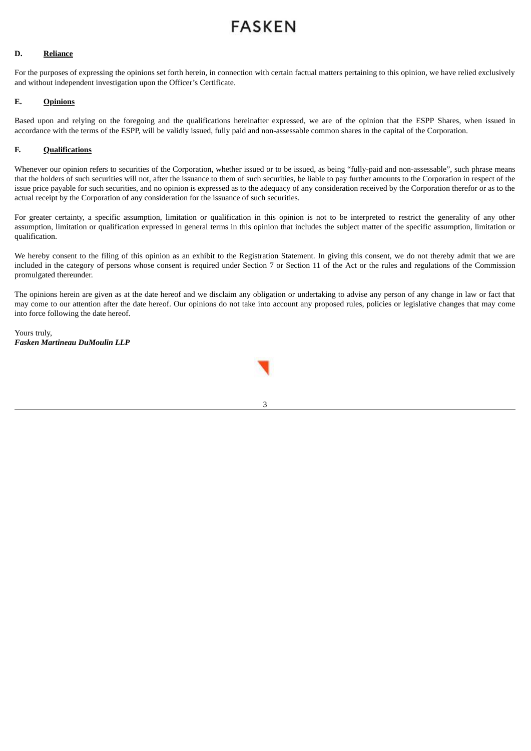# **FASKEN**

## **D. Reliance**

For the purposes of expressing the opinions set forth herein, in connection with certain factual matters pertaining to this opinion, we have relied exclusively and without independent investigation upon the Officer's Certificate.

## **E. Opinions**

Based upon and relying on the foregoing and the qualifications hereinafter expressed, we are of the opinion that the ESPP Shares, when issued in accordance with the terms of the ESPP, will be validly issued, fully paid and non-assessable common shares in the capital of the Corporation.

## **F. Qualifications**

Whenever our opinion refers to securities of the Corporation, whether issued or to be issued, as being "fully-paid and non-assessable", such phrase means that the holders of such securities will not, after the issuance to them of such securities, be liable to pay further amounts to the Corporation in respect of the issue price payable for such securities, and no opinion is expressed as to the adequacy of any consideration received by the Corporation therefor or as to the actual receipt by the Corporation of any consideration for the issuance of such securities.

For greater certainty, a specific assumption, limitation or qualification in this opinion is not to be interpreted to restrict the generality of any other assumption, limitation or qualification expressed in general terms in this opinion that includes the subject matter of the specific assumption, limitation or qualification.

We hereby consent to the filing of this opinion as an exhibit to the Registration Statement. In giving this consent, we do not thereby admit that we are included in the category of persons whose consent is required under Section 7 or Section 11 of the Act or the rules and regulations of the Commission promulgated thereunder.

The opinions herein are given as at the date hereof and we disclaim any obligation or undertaking to advise any person of any change in law or fact that may come to our attention after the date hereof. Our opinions do not take into account any proposed rules, policies or legislative changes that may come into force following the date hereof.

Yours truly, *Fasken Martineau DuMoulin LLP*

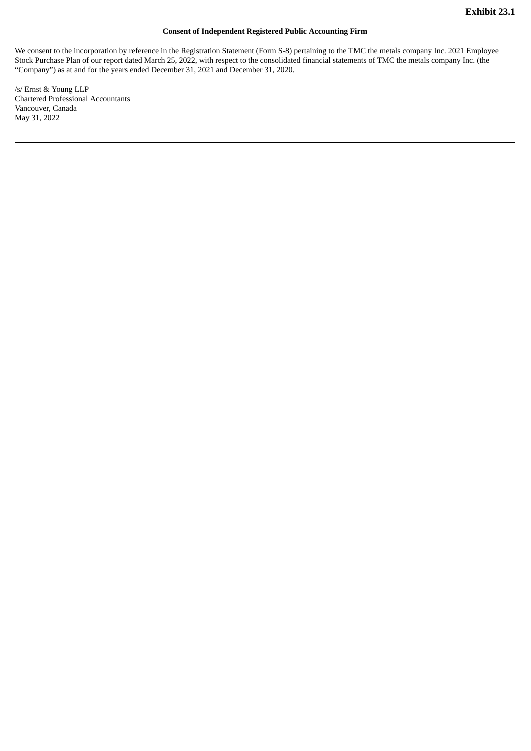## **Consent of Independent Registered Public Accounting Firm**

<span id="page-9-0"></span>We consent to the incorporation by reference in the Registration Statement (Form S-8) pertaining to the TMC the metals company Inc. 2021 Employee Stock Purchase Plan of our report dated March 25, 2022, with respect to the consolidated financial statements of TMC the metals company Inc. (the "Company") as at and for the years ended December 31, 2021 and December 31, 2020.

/s/ Ernst & Young LLP Chartered Professional Accountants Vancouver, Canada May 31, 2022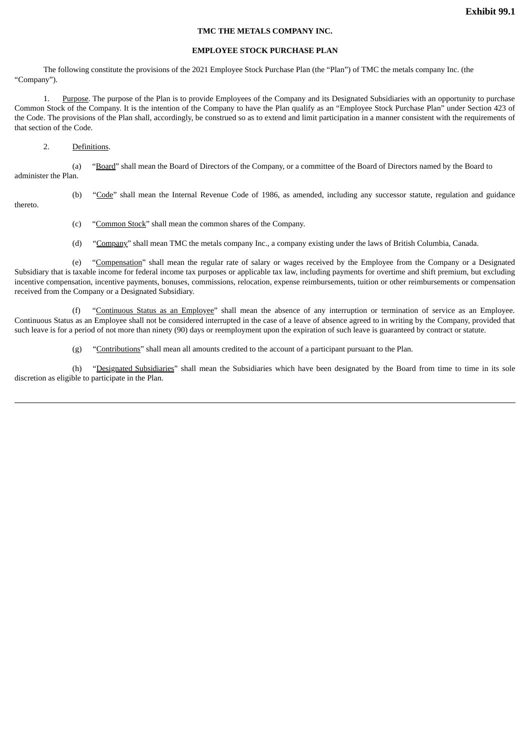#### **TMC THE METALS COMPANY INC.**

### **EMPLOYEE STOCK PURCHASE PLAN**

<span id="page-10-0"></span>The following constitute the provisions of the 2021 Employee Stock Purchase Plan (the "Plan") of TMC the metals company Inc. (the "Company").

1. Purpose. The purpose of the Plan is to provide Employees of the Company and its Designated Subsidiaries with an opportunity to purchase Common Stock of the Company. It is the intention of the Company to have the Plan qualify as an "Employee Stock Purchase Plan" under Section 423 of the Code. The provisions of the Plan shall, accordingly, be construed so as to extend and limit participation in a manner consistent with the requirements of that section of the Code.

#### 2. Definitions.

(a) "Board" shall mean the Board of Directors of the Company, or a committee of the Board of Directors named by the Board to administer the Plan.

thereto.

(b) "Code" shall mean the Internal Revenue Code of 1986, as amended, including any successor statute, regulation and guidance

- (c) "Common Stock" shall mean the common shares of the Company.
- (d) "Company" shall mean TMC the metals company Inc., a company existing under the laws of British Columbia, Canada.

(e) "Compensation" shall mean the regular rate of salary or wages received by the Employee from the Company or a Designated Subsidiary that is taxable income for federal income tax purposes or applicable tax law, including payments for overtime and shift premium, but excluding incentive compensation, incentive payments, bonuses, commissions, relocation, expense reimbursements, tuition or other reimbursements or compensation received from the Company or a Designated Subsidiary.

(f) "Continuous Status as an Employee" shall mean the absence of any interruption or termination of service as an Employee. Continuous Status as an Employee shall not be considered interrupted in the case of a leave of absence agreed to in writing by the Company, provided that such leave is for a period of not more than ninety (90) days or reemployment upon the expiration of such leave is guaranteed by contract or statute.

(g) "Contributions" shall mean all amounts credited to the account of a participant pursuant to the Plan.

(h) "Designated Subsidiaries" shall mean the Subsidiaries which have been designated by the Board from time to time in its sole discretion as eligible to participate in the Plan.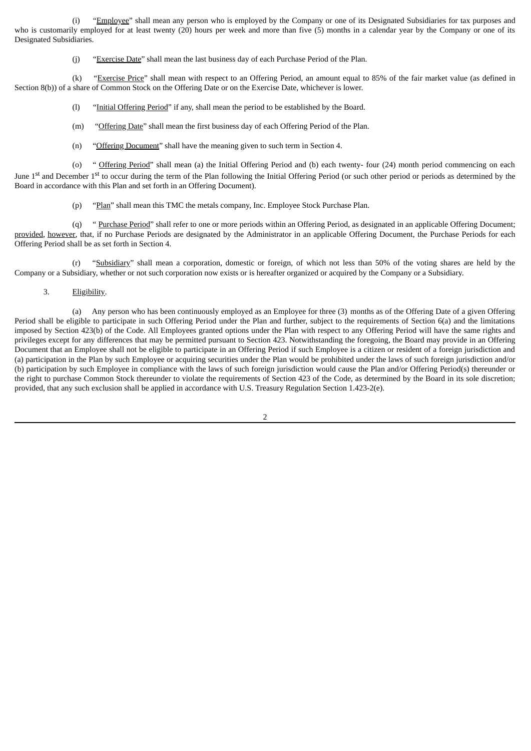(i) "Employee" shall mean any person who is employed by the Company or one of its Designated Subsidiaries for tax purposes and who is customarily employed for at least twenty (20) hours per week and more than five (5) months in a calendar year by the Company or one of its Designated Subsidiaries.

(j) " $E$ xercise Date" shall mean the last business day of each Purchase Period of the Plan.

(k) "Exercise Price" shall mean with respect to an Offering Period, an amount equal to 85% of the fair market value (as defined in Section 8(b)) of a share of Common Stock on the Offering Date or on the Exercise Date, whichever is lower.

- (l) "Initial Offering Period" if any, shall mean the period to be established by the Board.
- (m) "Offering Date" shall mean the first business day of each Offering Period of the Plan.
- (n) "Offering Document" shall have the meaning given to such term in Section 4.

(o) " Offering Period" shall mean (a) the Initial Offering Period and (b) each twenty- four (24) month period commencing on each June 1<sup>st</sup> and December 1<sup>st</sup> to occur during the term of the Plan following the Initial Offering Period (or such other period or periods as determined by the Board in accordance with this Plan and set forth in an Offering Document).

(p) "Plan" shall mean this TMC the metals company, Inc. Employee Stock Purchase Plan.

(q) " Purchase Period" shall refer to one or more periods within an Offering Period, as designated in an applicable Offering Document; provided, however, that, if no Purchase Periods are designated by the Administrator in an applicable Offering Document, the Purchase Periods for each Offering Period shall be as set forth in Section 4.

(r) "Subsidiary" shall mean a corporation, domestic or foreign, of which not less than 50% of the voting shares are held by the Company or a Subsidiary, whether or not such corporation now exists or is hereafter organized or acquired by the Company or a Subsidiary.

3. Eligibility.

(a) Any person who has been continuously employed as an Employee for three (3) months as of the Offering Date of a given Offering Period shall be eligible to participate in such Offering Period under the Plan and further, subject to the requirements of Section 6(a) and the limitations imposed by Section 423(b) of the Code. All Employees granted options under the Plan with respect to any Offering Period will have the same rights and privileges except for any differences that may be permitted pursuant to Section 423. Notwithstanding the foregoing, the Board may provide in an Offering Document that an Employee shall not be eligible to participate in an Offering Period if such Employee is a citizen or resident of a foreign jurisdiction and (a) participation in the Plan by such Employee or acquiring securities under the Plan would be prohibited under the laws of such foreign jurisdiction and/or (b) participation by such Employee in compliance with the laws of such foreign jurisdiction would cause the Plan and/or Offering Period(s) thereunder or the right to purchase Common Stock thereunder to violate the requirements of Section 423 of the Code, as determined by the Board in its sole discretion; provided, that any such exclusion shall be applied in accordance with U.S. Treasury Regulation Section 1.423-2(e).

 $\overline{2}$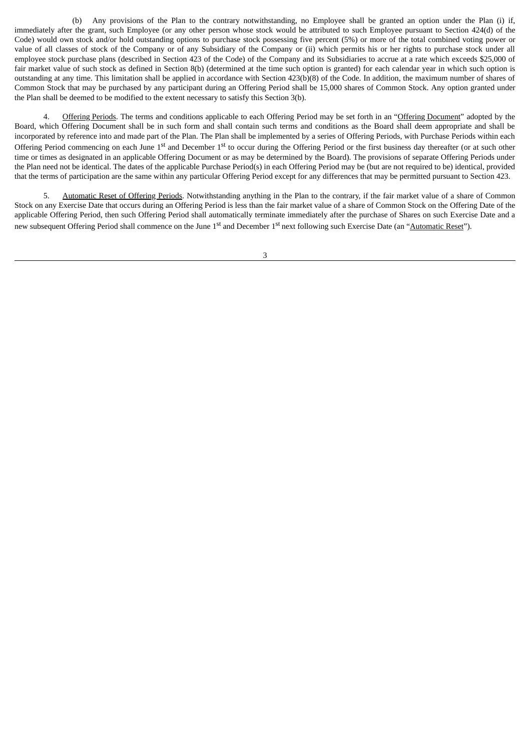(b) Any provisions of the Plan to the contrary notwithstanding, no Employee shall be granted an option under the Plan (i) if, immediately after the grant, such Employee (or any other person whose stock would be attributed to such Employee pursuant to Section 424(d) of the Code) would own stock and/or hold outstanding options to purchase stock possessing five percent (5%) or more of the total combined voting power or value of all classes of stock of the Company or of any Subsidiary of the Company or (ii) which permits his or her rights to purchase stock under all employee stock purchase plans (described in Section 423 of the Code) of the Company and its Subsidiaries to accrue at a rate which exceeds \$25,000 of fair market value of such stock as defined in Section 8(b) (determined at the time such option is granted) for each calendar year in which such option is outstanding at any time. This limitation shall be applied in accordance with Section 423(b)(8) of the Code. In addition, the maximum number of shares of Common Stock that may be purchased by any participant during an Offering Period shall be 15,000 shares of Common Stock. Any option granted under the Plan shall be deemed to be modified to the extent necessary to satisfy this Section 3(b).

4. Offering Periods. The terms and conditions applicable to each Offering Period may be set forth in an "Offering Document" adopted by the Board, which Offering Document shall be in such form and shall contain such terms and conditions as the Board shall deem appropriate and shall be incorporated by reference into and made part of the Plan. The Plan shall be implemented by a series of Offering Periods, with Purchase Periods within each Offering Period commencing on each June 1<sup>st</sup> and December 1<sup>st</sup> to occur during the Offering Period or the first business day thereafter (or at such other time or times as designated in an applicable Offering Document or as may be determined by the Board). The provisions of separate Offering Periods under the Plan need not be identical. The dates of the applicable Purchase Period(s) in each Offering Period may be (but are not required to be) identical, provided that the terms of participation are the same within any particular Offering Period except for any differences that may be permitted pursuant to Section 423.

5. Automatic Reset of Offering Periods. Notwithstanding anything in the Plan to the contrary, if the fair market value of a share of Common Stock on any Exercise Date that occurs during an Offering Period is less than the fair market value of a share of Common Stock on the Offering Date of the applicable Offering Period, then such Offering Period shall automatically terminate immediately after the purchase of Shares on such Exercise Date and a new subsequent Offering Period shall commence on the June 1<sup>st</sup> and December 1<sup>st</sup> next following such Exercise Date (an "<u>Automatic Reset</u>").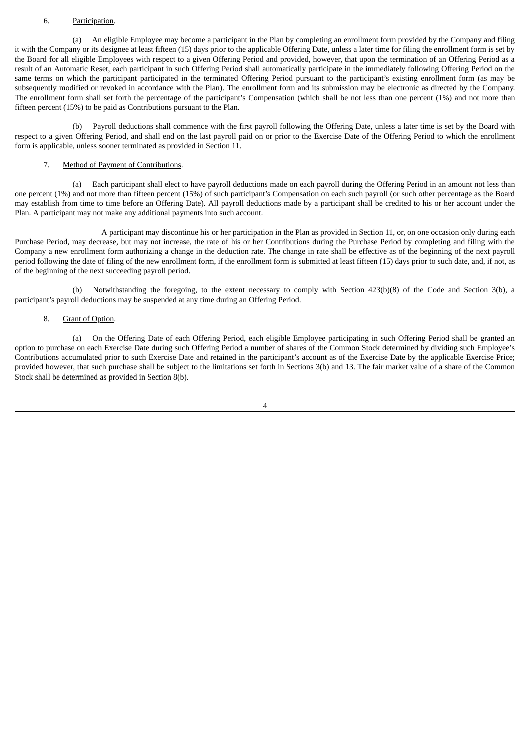#### 6. Participation.

(a) An eligible Employee may become a participant in the Plan by completing an enrollment form provided by the Company and filing it with the Company or its designee at least fifteen (15) days prior to the applicable Offering Date, unless a later time for filing the enrollment form is set by the Board for all eligible Employees with respect to a given Offering Period and provided, however, that upon the termination of an Offering Period as a result of an Automatic Reset, each participant in such Offering Period shall automatically participate in the immediately following Offering Period on the same terms on which the participant participated in the terminated Offering Period pursuant to the participant's existing enrollment form (as may be subsequently modified or revoked in accordance with the Plan). The enrollment form and its submission may be electronic as directed by the Company. The enrollment form shall set forth the percentage of the participant's Compensation (which shall be not less than one percent (1%) and not more than fifteen percent (15%) to be paid as Contributions pursuant to the Plan.

(b) Payroll deductions shall commence with the first payroll following the Offering Date, unless a later time is set by the Board with respect to a given Offering Period, and shall end on the last payroll paid on or prior to the Exercise Date of the Offering Period to which the enrollment form is applicable, unless sooner terminated as provided in Section 11.

#### 7. Method of Payment of Contributions.

(a) Each participant shall elect to have payroll deductions made on each payroll during the Offering Period in an amount not less than one percent (1%) and not more than fifteen percent (15%) of such participant's Compensation on each such payroll (or such other percentage as the Board may establish from time to time before an Offering Date). All payroll deductions made by a participant shall be credited to his or her account under the Plan. A participant may not make any additional payments into such account.

A participant may discontinue his or her participation in the Plan as provided in Section 11, or, on one occasion only during each Purchase Period, may decrease, but may not increase, the rate of his or her Contributions during the Purchase Period by completing and filing with the Company a new enrollment form authorizing a change in the deduction rate. The change in rate shall be effective as of the beginning of the next payroll period following the date of filing of the new enrollment form, if the enrollment form is submitted at least fifteen (15) days prior to such date, and, if not, as of the beginning of the next succeeding payroll period.

(b) Notwithstanding the foregoing, to the extent necessary to comply with Section 423(b)(8) of the Code and Section 3(b), a participant's payroll deductions may be suspended at any time during an Offering Period.

#### 8. Grant of Option.

(a) On the Offering Date of each Offering Period, each eligible Employee participating in such Offering Period shall be granted an option to purchase on each Exercise Date during such Offering Period a number of shares of the Common Stock determined by dividing such Employee's Contributions accumulated prior to such Exercise Date and retained in the participant's account as of the Exercise Date by the applicable Exercise Price; provided however, that such purchase shall be subject to the limitations set forth in Sections 3(b) and 13. The fair market value of a share of the Common Stock shall be determined as provided in Section 8(b).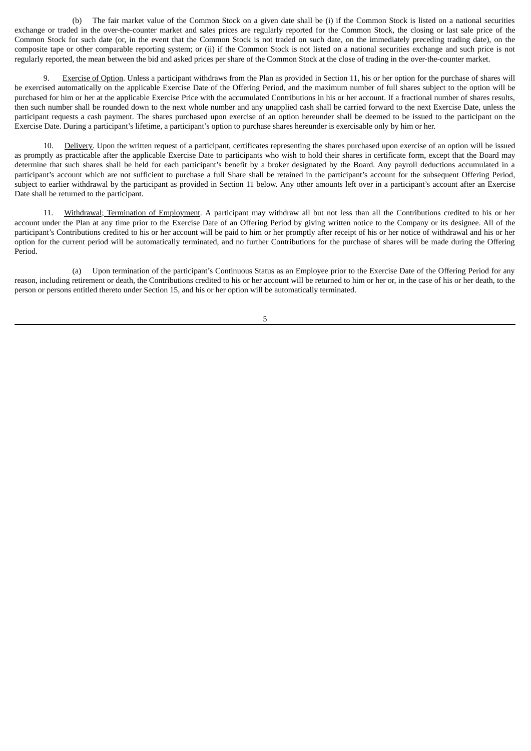(b) The fair market value of the Common Stock on a given date shall be (i) if the Common Stock is listed on a national securities exchange or traded in the over-the-counter market and sales prices are regularly reported for the Common Stock, the closing or last sale price of the Common Stock for such date (or, in the event that the Common Stock is not traded on such date, on the immediately preceding trading date), on the composite tape or other comparable reporting system; or (ii) if the Common Stock is not listed on a national securities exchange and such price is not regularly reported, the mean between the bid and asked prices per share of the Common Stock at the close of trading in the over-the-counter market.

9. Exercise of Option. Unless a participant withdraws from the Plan as provided in Section 11, his or her option for the purchase of shares will be exercised automatically on the applicable Exercise Date of the Offering Period, and the maximum number of full shares subject to the option will be purchased for him or her at the applicable Exercise Price with the accumulated Contributions in his or her account. If a fractional number of shares results, then such number shall be rounded down to the next whole number and any unapplied cash shall be carried forward to the next Exercise Date, unless the participant requests a cash payment. The shares purchased upon exercise of an option hereunder shall be deemed to be issued to the participant on the Exercise Date. During a participant's lifetime, a participant's option to purchase shares hereunder is exercisable only by him or her.

10. Delivery. Upon the written request of a participant, certificates representing the shares purchased upon exercise of an option will be issued as promptly as practicable after the applicable Exercise Date to participants who wish to hold their shares in certificate form, except that the Board may determine that such shares shall be held for each participant's benefit by a broker designated by the Board. Any payroll deductions accumulated in a participant's account which are not sufficient to purchase a full Share shall be retained in the participant's account for the subsequent Offering Period, subject to earlier withdrawal by the participant as provided in Section 11 below. Any other amounts left over in a participant's account after an Exercise Date shall be returned to the participant.

11. Withdrawal; Termination of Employment. A participant may withdraw all but not less than all the Contributions credited to his or her account under the Plan at any time prior to the Exercise Date of an Offering Period by giving written notice to the Company or its designee. All of the participant's Contributions credited to his or her account will be paid to him or her promptly after receipt of his or her notice of withdrawal and his or her option for the current period will be automatically terminated, and no further Contributions for the purchase of shares will be made during the Offering Period.

(a) Upon termination of the participant's Continuous Status as an Employee prior to the Exercise Date of the Offering Period for any reason, including retirement or death, the Contributions credited to his or her account will be returned to him or her or, in the case of his or her death, to the person or persons entitled thereto under Section 15, and his or her option will be automatically terminated.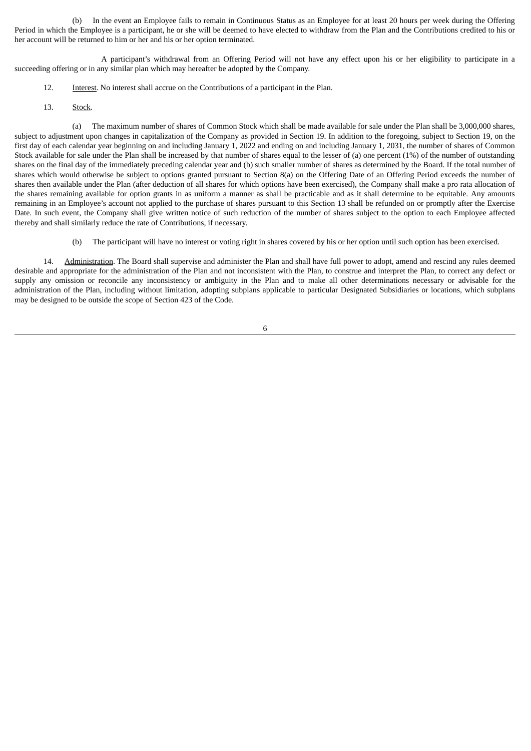(b) In the event an Employee fails to remain in Continuous Status as an Employee for at least 20 hours per week during the Offering Period in which the Employee is a participant, he or she will be deemed to have elected to withdraw from the Plan and the Contributions credited to his or her account will be returned to him or her and his or her option terminated.

A participant's withdrawal from an Offering Period will not have any effect upon his or her eligibility to participate in a succeeding offering or in any similar plan which may hereafter be adopted by the Company.

- 12. Interest. No interest shall accrue on the Contributions of a participant in the Plan.
- 13. Stock.

(a) The maximum number of shares of Common Stock which shall be made available for sale under the Plan shall be 3,000,000 shares, subject to adjustment upon changes in capitalization of the Company as provided in Section 19. In addition to the foregoing, subject to Section 19, on the first day of each calendar year beginning on and including January 1, 2022 and ending on and including January 1, 2031, the number of shares of Common Stock available for sale under the Plan shall be increased by that number of shares equal to the lesser of (a) one percent (1%) of the number of outstanding shares on the final day of the immediately preceding calendar year and (b) such smaller number of shares as determined by the Board. If the total number of shares which would otherwise be subject to options granted pursuant to Section 8(a) on the Offering Date of an Offering Period exceeds the number of shares then available under the Plan (after deduction of all shares for which options have been exercised), the Company shall make a pro rata allocation of the shares remaining available for option grants in as uniform a manner as shall be practicable and as it shall determine to be equitable. Any amounts remaining in an Employee's account not applied to the purchase of shares pursuant to this Section 13 shall be refunded on or promptly after the Exercise Date. In such event, the Company shall give written notice of such reduction of the number of shares subject to the option to each Employee affected thereby and shall similarly reduce the rate of Contributions, if necessary.

(b) The participant will have no interest or voting right in shares covered by his or her option until such option has been exercised.

14. Administration. The Board shall supervise and administer the Plan and shall have full power to adopt, amend and rescind any rules deemed desirable and appropriate for the administration of the Plan and not inconsistent with the Plan, to construe and interpret the Plan, to correct any defect or supply any omission or reconcile any inconsistency or ambiguity in the Plan and to make all other determinations necessary or advisable for the administration of the Plan, including without limitation, adopting subplans applicable to particular Designated Subsidiaries or locations, which subplans may be designed to be outside the scope of Section 423 of the Code.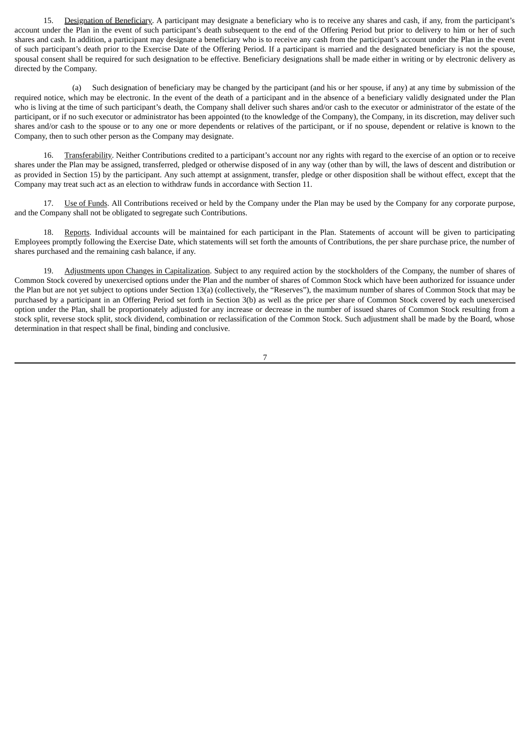15. Designation of Beneficiary. A participant may designate a beneficiary who is to receive any shares and cash, if any, from the participant's account under the Plan in the event of such participant's death subsequent to the end of the Offering Period but prior to delivery to him or her of such shares and cash. In addition, a participant may designate a beneficiary who is to receive any cash from the participant's account under the Plan in the event of such participant's death prior to the Exercise Date of the Offering Period. If a participant is married and the designated beneficiary is not the spouse, spousal consent shall be required for such designation to be effective. Beneficiary designations shall be made either in writing or by electronic delivery as directed by the Company.

(a) Such designation of beneficiary may be changed by the participant (and his or her spouse, if any) at any time by submission of the required notice, which may be electronic. In the event of the death of a participant and in the absence of a beneficiary validly designated under the Plan who is living at the time of such participant's death, the Company shall deliver such shares and/or cash to the executor or administrator of the estate of the participant, or if no such executor or administrator has been appointed (to the knowledge of the Company), the Company, in its discretion, may deliver such shares and/or cash to the spouse or to any one or more dependents or relatives of the participant, or if no spouse, dependent or relative is known to the Company, then to such other person as the Company may designate.

16. Transferability. Neither Contributions credited to a participant's account nor any rights with regard to the exercise of an option or to receive shares under the Plan may be assigned, transferred, pledged or otherwise disposed of in any way (other than by will, the laws of descent and distribution or as provided in Section 15) by the participant. Any such attempt at assignment, transfer, pledge or other disposition shall be without effect, except that the Company may treat such act as an election to withdraw funds in accordance with Section 11.

17. Use of Funds. All Contributions received or held by the Company under the Plan may be used by the Company for any corporate purpose, and the Company shall not be obligated to segregate such Contributions.

18. Reports. Individual accounts will be maintained for each participant in the Plan. Statements of account will be given to participating Employees promptly following the Exercise Date, which statements will set forth the amounts of Contributions, the per share purchase price, the number of shares purchased and the remaining cash balance, if any.

19. Adjustments upon Changes in Capitalization. Subject to any required action by the stockholders of the Company, the number of shares of Common Stock covered by unexercised options under the Plan and the number of shares of Common Stock which have been authorized for issuance under the Plan but are not yet subject to options under Section 13(a) (collectively, the "Reserves"), the maximum number of shares of Common Stock that may be purchased by a participant in an Offering Period set forth in Section 3(b) as well as the price per share of Common Stock covered by each unexercised option under the Plan, shall be proportionately adjusted for any increase or decrease in the number of issued shares of Common Stock resulting from a stock split, reverse stock split, stock dividend, combination or reclassification of the Common Stock. Such adjustment shall be made by the Board, whose determination in that respect shall be final, binding and conclusive.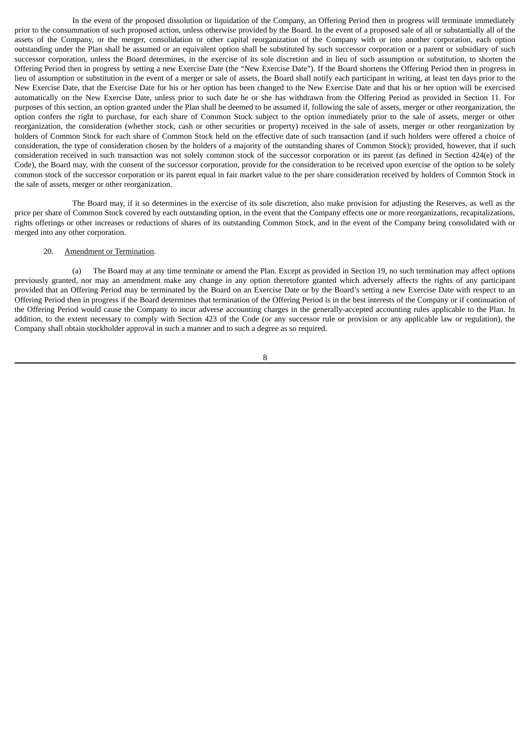In the event of the proposed dissolution or liquidation of the Company, an Offering Period then in progress will terminate immediately prior to the consummation of such proposed action, unless otherwise provided by the Board. In the event of a proposed sale of all or substantially all of the assets of the Company, or the merger, consolidation or other capital reorganization of the Company with or into another corporation, each option outstanding under the Plan shall be assumed or an equivalent option shall be substituted by such successor corporation or a parent or subsidiary of such successor corporation, unless the Board determines, in the exercise of its sole discretion and in lieu of such assumption or substitution, to shorten the Offering Period then in progress by setting a new Exercise Date (the "New Exercise Date"). If the Board shortens the Offering Period then in progress in lieu of assumption or substitution in the event of a merger or sale of assets, the Board shall notify each participant in writing, at least ten days prior to the New Exercise Date, that the Exercise Date for his or her option has been changed to the New Exercise Date and that his or her option will be exercised automatically on the New Exercise Date, unless prior to such date he or she has withdrawn from the Offering Period as provided in Section 11. For purposes of this section, an option granted under the Plan shall be deemed to be assumed if, following the sale of assets, merger or other reorganization, the option confers the right to purchase, for each share of Common Stock subject to the option immediately prior to the sale of assets, merger or other reorganization, the consideration (whether stock, cash or other securities or property) received in the sale of assets, merger or other reorganization by holders of Common Stock for each share of Common Stock held on the effective date of such transaction (and if such holders were offered a choice of consideration, the type of consideration chosen by the holders of a majority of the outstanding shares of Common Stock); provided, however, that if such consideration received in such transaction was not solely common stock of the successor corporation or its parent (as defined in Section 424(e) of the Code), the Board may, with the consent of the successor corporation, provide for the consideration to be received upon exercise of the option to be solely common stock of the successor corporation or its parent equal in fair market value to the per share consideration received by holders of Common Stock in the sale of assets, merger or other reorganization.

The Board may, if it so determines in the exercise of its sole discretion, also make provision for adjusting the Reserves, as well as the price per share of Common Stock covered by each outstanding option, in the event that the Company effects one or more reorganizations, recapitalizations, rights offerings or other increases or reductions of shares of its outstanding Common Stock, and in the event of the Company being consolidated with or merged into any other corporation.

#### 20. Amendment or Termination.

(a) The Board may at any time terminate or amend the Plan. Except as provided in Section 19, no such termination may affect options previously granted, nor may an amendment make any change in any option theretofore granted which adversely affects the rights of any participant provided that an Offering Period may be terminated by the Board on an Exercise Date or by the Board's setting a new Exercise Date with respect to an Offering Period then in progress if the Board determines that termination of the Offering Period is in the best interests of the Company or if continuation of the Offering Period would cause the Company to incur adverse accounting charges in the generally-accepted accounting rules applicable to the Plan. In addition, to the extent necessary to comply with Section 423 of the Code (or any successor rule or provision or any applicable law or regulation), the Company shall obtain stockholder approval in such a manner and to such a degree as so required.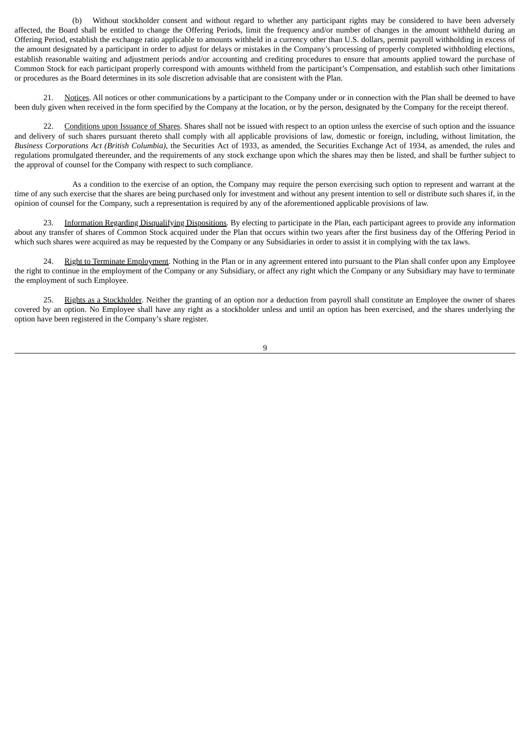(b) Without stockholder consent and without regard to whether any participant rights may be considered to have been adversely affected, the Board shall be entitled to change the Offering Periods, limit the frequency and/or number of changes in the amount withheld during an Offering Period, establish the exchange ratio applicable to amounts withheld in a currency other than U.S. dollars, permit payroll withholding in excess of the amount designated by a participant in order to adjust for delays or mistakes in the Company's processing of properly completed withholding elections, establish reasonable waiting and adjustment periods and/or accounting and crediting procedures to ensure that amounts applied toward the purchase of Common Stock for each participant properly correspond with amounts withheld from the participant's Compensation, and establish such other limitations or procedures as the Board determines in its sole discretion advisable that are consistent with the Plan.

21. Notices. All notices or other communications by a participant to the Company under or in connection with the Plan shall be deemed to have been duly given when received in the form specified by the Company at the location, or by the person, designated by the Company for the receipt thereof.

22. Conditions upon Issuance of Shares. Shares shall not be issued with respect to an option unless the exercise of such option and the issuance and delivery of such shares pursuant thereto shall comply with all applicable provisions of law, domestic or foreign, including, without limitation, the *Business Corporations Act (British Columbia)*, the Securities Act of 1933, as amended, the Securities Exchange Act of 1934, as amended, the rules and regulations promulgated thereunder, and the requirements of any stock exchange upon which the shares may then be listed, and shall be further subject to the approval of counsel for the Company with respect to such compliance.

As a condition to the exercise of an option, the Company may require the person exercising such option to represent and warrant at the time of any such exercise that the shares are being purchased only for investment and without any present intention to sell or distribute such shares if, in the opinion of counsel for the Company, such a representation is required by any of the aforementioned applicable provisions of law.

23. Information Regarding Disqualifying Dispositions. By electing to participate in the Plan, each participant agrees to provide any information about any transfer of shares of Common Stock acquired under the Plan that occurs within two years after the first business day of the Offering Period in which such shares were acquired as may be requested by the Company or any Subsidiaries in order to assist it in complying with the tax laws.

24. Right to Terminate Employment. Nothing in the Plan or in any agreement entered into pursuant to the Plan shall confer upon any Employee the right to continue in the employment of the Company or any Subsidiary, or affect any right which the Company or any Subsidiary may have to terminate the employment of such Employee.

25. Rights as a Stockholder. Neither the granting of an option nor a deduction from payroll shall constitute an Employee the owner of shares covered by an option. No Employee shall have any right as a stockholder unless and until an option has been exercised, and the shares underlying the option have been registered in the Company's share register.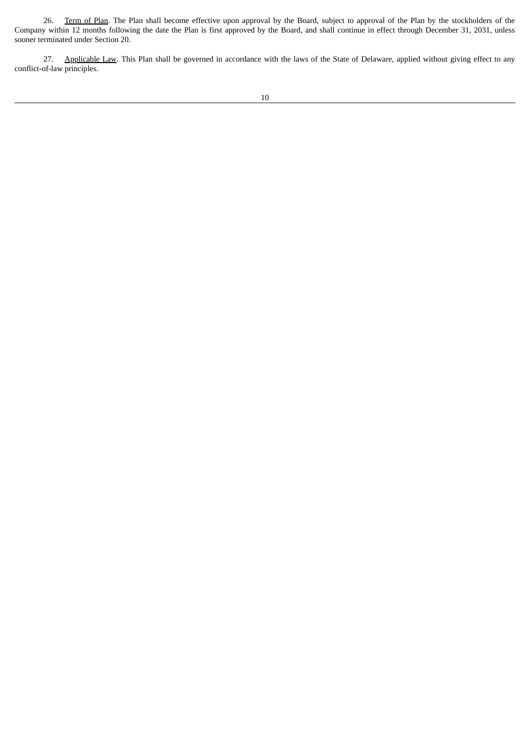26. Term of Plan. The Plan shall become effective upon approval by the Board, subject to approval of the Plan by the stockholders of the Company within 12 months following the date the Plan is first approved by the Board, and shall continue in effect through December 31, 2031, unless sooner terminated under Section 20.

27. Applicable Law. This Plan shall be governed in accordance with the laws of the State of Delaware, applied without giving effect to any conflict-of-law principles.